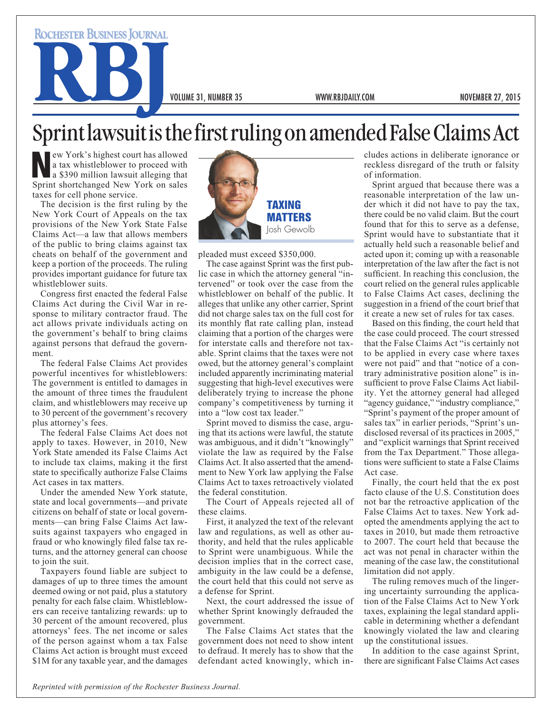**ROCHESTER BUSINESS JOURNAL** 

VOLUME 31, NUMBER 35 WWW.RBJDAILY.COM NOVEMBER 27, 2015

## Sprint lawsuit is the first ruling on amended False Claims Act

New York's highest court has allowed<br>a tax whistleblower to proceed with<br>a \$390 million lawsuit alleging that<br>Sprint shortchanged New York on sales a tax whistleblower to proceed with a \$390 million lawsuit alleging that Sprint shortchanged New York on sales taxes for cell phone service.

The decision is the first ruling by the New York Court of Appeals on the tax provisions of the New York State False Claims Act—a law that allows members of the public to bring claims against tax cheats on behalf of the government and keep a portion of the proceeds. The ruling provides important guidance for future tax whistleblower suits.

Congress first enacted the federal False Claims Act during the Civil War in response to military contractor fraud. The act allows private individuals acting on the government's behalf to bring claims against persons that defraud the government.

The federal False Claims Act provides powerful incentives for whistleblowers: The government is entitled to damages in the amount of three times the fraudulent claim, and whistleblowers may receive up to 30 percent of the government's recovery plus attorney's fees.

The federal False Claims Act does not apply to taxes. However, in 2010, New York State amended its False Claims Act to include tax claims, making it the first state to specifically authorize False Claims Act cases in tax matters.

Under the amended New York statute, state and local governments—and private citizens on behalf of state or local governments—can bring False Claims Act lawsuits against taxpayers who engaged in fraud or who knowingly filed false tax returns, and the attorney general can choose to join the suit.

Taxpayers found liable are subject to damages of up to three times the amount deemed owing or not paid, plus a statutory penalty for each false claim. Whistleblowers can receive tantalizing rewards: up to 30 percent of the amount recovered, plus attorneys' fees. The net income or sales of the person against whom a tax False Claims Act action is brought must exceed \$1M for any taxable year, and the damages



pleaded must exceed \$350,000.

The case against Sprint was the first public case in which the attorney general "intervened" or took over the case from the whistleblower on behalf of the public. It alleges that unlike any other carrier, Sprint did not charge sales tax on the full cost for its monthly flat rate calling plan, instead claiming that a portion of the charges were for interstate calls and therefore not taxable. Sprint claims that the taxes were not owed, but the attorney general's complaint included apparently incriminating material suggesting that high-level executives were deliberately trying to increase the phone company's competitiveness by turning it into a "low cost tax leader."

Sprint moved to dismiss the case, arguing that its actions were lawful, the statute was ambiguous, and it didn't "knowingly" violate the law as required by the False Claims Act. It also asserted that the amendment to New York law applying the False Claims Act to taxes retroactively violated the federal constitution.

The Court of Appeals rejected all of these claims.

First, it analyzed the text of the relevant law and regulations, as well as other authority, and held that the rules applicable to Sprint were unambiguous. While the decision implies that in the correct case, ambiguity in the law could be a defense, the court held that this could not serve as a defense for Sprint.

Next, the court addressed the issue of whether Sprint knowingly defrauded the government.

The False Claims Act states that the government does not need to show intent to defraud. It merely has to show that the defendant acted knowingly, which includes actions in deliberate ignorance or reckless disregard of the truth or falsity of information.

Sprint argued that because there was a reasonable interpretation of the law under which it did not have to pay the tax, there could be no valid claim. But the court found that for this to serve as a defense, Sprint would have to substantiate that it actually held such a reasonable belief and acted upon it; coming up with a reasonable interpretation of the law after the fact is not sufficient. In reaching this conclusion, the court relied on the general rules applicable to False Claims Act cases, declining the suggestion in a friend of the court brief that it create a new set of rules for tax cases.

Based on this finding, the court held that the case could proceed. The court stressed that the False Claims Act "is certainly not to be applied in every case where taxes were not paid" and that "notice of a contrary administrative position alone" is insufficient to prove False Claims Act liability. Yet the attorney general had alleged "agency guidance," "industry compliance," "Sprint's payment of the proper amount of sales tax" in earlier periods, "Sprint's undisclosed reversal of its practices in 2005," and "explicit warnings that Sprint received from the Tax Department." Those allegations were sufficient to state a False Claims Act case.

Finally, the court held that the ex post facto clause of the U.S. Constitution does not bar the retroactive application of the False Claims Act to taxes. New York adopted the amendments applying the act to taxes in 2010, but made them retroactive to 2007. The court held that because the act was not penal in character within the meaning of the case law, the constitutional limitation did not apply.

The ruling removes much of the lingering uncertainty surrounding the application of the False Claims Act to New York taxes, explaining the legal standard applicable in determining whether a defendant knowingly violated the law and clearing up the constitutional issues.

In addition to the case against Sprint, there are significant False Claims Act cases